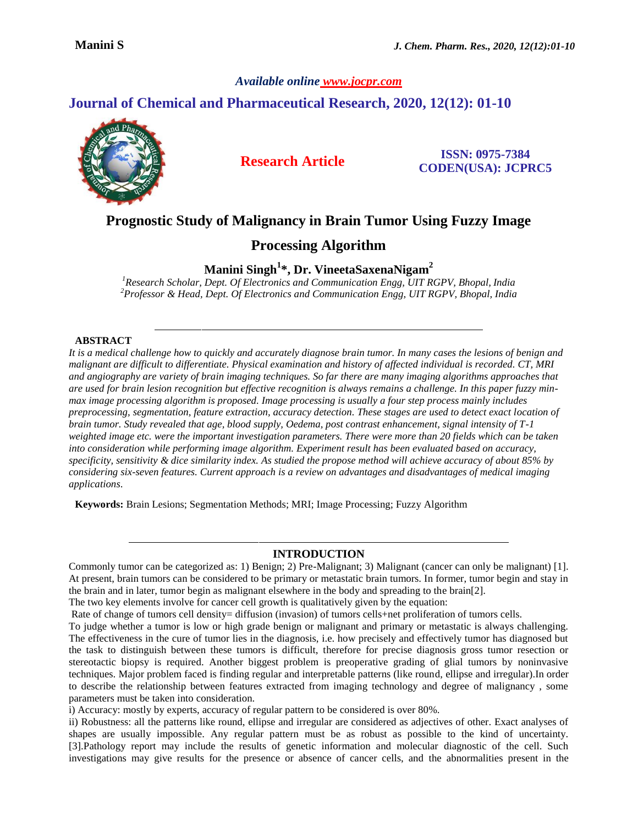*Available online [www.jocpr.com](http://www.jocpr.com/)*

# **Journal of Chemical and Pharmaceutical Research, 2020, 12(12): 01-10**



 **Research Article ISSN: 0975-7384 CODEN(USA): JCPRC5**

# **Prognostic Study of Malignancy in Brain Tumor Using Fuzzy Image**

## **Processing Algorithm**

**Manini Singh<sup>1</sup> \*, Dr. VineetaSaxenaNigam<sup>2</sup>**

*<sup>1</sup>Research Scholar, Dept. Of Electronics and Communication Engg, UIT RGPV, Bhopal, India <sup>2</sup>Professor & Head, Dept. Of Electronics and Communication Engg, UIT RGPV, Bhopal, India*

## **ABSTRACT**

*It is a medical challenge how to quickly and accurately diagnose brain tumor. In many cases the lesions of benign and malignant are difficult to differentiate. Physical examination and history of affected individual is recorded. CT, MRI and angiography are variety of brain imaging techniques. So far there are many imaging algorithms approaches that are used for brain lesion recognition but effective recognition is always remains a challenge. In this paper fuzzy minmax image processing algorithm is proposed. Image processing is usually a four step process mainly includes preprocessing, segmentation, feature extraction, accuracy detection. These stages are used to detect exact location of brain tumor. Study revealed that age, blood supply, Oedema, post contrast enhancement, signal intensity of T-1 weighted image etc. were the important investigation parameters. There were more than 20 fields which can be taken into consideration while performing image algorithm. Experiment result has been evaluated based on accuracy, specificity, sensitivity & dice similarity index. As studied the propose method will achieve accuracy of about 85% by considering six-seven features. Current approach is a review on advantages and disadvantages of medical imaging applications*.

**Keywords:** Brain Lesions; Segmentation Methods; MRI; Image Processing; Fuzzy Algorithm

## **INTRODUCTION**

Commonly tumor can be categorized as: 1) Benign; 2) Pre-Malignant; 3) Malignant (cancer can only be malignant) [1]. At present, brain tumors can be considered to be primary or metastatic brain tumors. In former, tumor begin and stay in the brain and in later, tumor begin as malignant elsewhere in the body and spreading to the brain[2].

The two key elements involve for cancer cell growth is qualitatively given by the equation:

Rate of change of tumors cell density= diffusion (invasion) of tumors cells+net proliferation of tumors cells.

To judge whether a tumor is low or high grade benign or malignant and primary or metastatic is always challenging. The effectiveness in the cure of tumor lies in the diagnosis, i.e. how precisely and effectively tumor has diagnosed but the task to distinguish between these tumors is difficult, therefore for precise diagnosis gross tumor resection or stereotactic biopsy is required. Another biggest problem is preoperative grading of glial tumors by noninvasive techniques. Major problem faced is finding regular and interpretable patterns (like round, ellipse and irregular).In order to describe the relationship between features extracted from imaging technology and degree of malignancy , some parameters must be taken into consideration.

i) Accuracy: mostly by experts, accuracy of regular pattern to be considered is over 80%.

ii) Robustness: all the patterns like round, ellipse and irregular are considered as adjectives of other. Exact analyses of shapes are usually impossible. Any regular pattern must be as robust as possible to the kind of uncertainty. [3].Pathology report may include the results of genetic information and molecular diagnostic of the cell. Such investigations may give results for the presence or absence of cancer cells, and the abnormalities present in the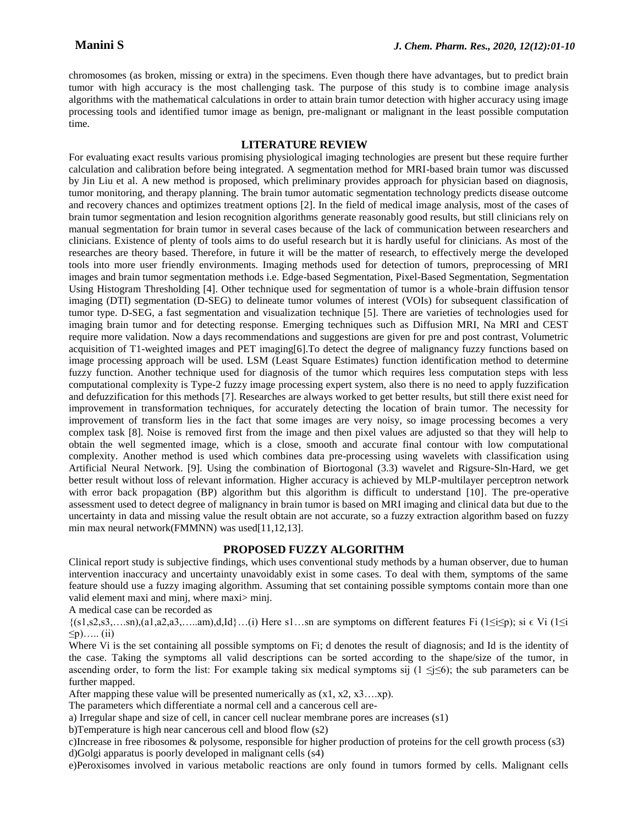chromosomes (as broken, missing or extra) in the specimens. Even though there have advantages, but to predict brain tumor with high accuracy is the most challenging task. The purpose of this study is to combine image analysis algorithms with the mathematical calculations in order to attain brain tumor detection with higher accuracy using image processing tools and identified tumor image as benign, pre-malignant or malignant in the least possible computation time.

#### **LITERATURE REVIEW**

For evaluating exact results various promising physiological imaging technologies are present but these require further calculation and calibration before being integrated. A segmentation method for MRI-based brain tumor was discussed by Jin Liu et al. A new method is proposed, which preliminary provides approach for physician based on diagnosis, tumor monitoring, and therapy planning. The brain tumor automatic segmentation technology predicts disease outcome and recovery chances and optimizes treatment options [2]. In the field of medical image analysis, most of the cases of brain tumor segmentation and lesion recognition algorithms generate reasonably good results, but still clinicians rely on manual segmentation for brain tumor in several cases because of the lack of communication between researchers and clinicians. Existence of plenty of tools aims to do useful research but it is hardly useful for clinicians. As most of the researches are theory based. Therefore, in future it will be the matter of research, to effectively merge the developed tools into more user friendly environments. Imaging methods used for detection of tumors, preprocessing of MRI images and brain tumor segmentation methods i.e. Edge-based Segmentation, Pixel-Based Segmentation, Segmentation Using Histogram Thresholding [4]. Other technique used for segmentation of tumor is a whole-brain diffusion tensor imaging (DTI) segmentation (D-SEG) to delineate tumor volumes of interest (VOIs) for subsequent classification of tumor type. D-SEG, a fast segmentation and visualization technique [5]. There are varieties of technologies used for imaging brain tumor and for detecting response. Emerging techniques such as Diffusion MRI, Na MRI and CEST require more validation. Now a days recommendations and suggestions are given for pre and post contrast, Volumetric acquisition of T1-weighted images and PET imaging[6].To detect the degree of malignancy fuzzy functions based on image processing approach will be used. LSM (Least Square Estimates) function identification method to determine fuzzy function. Another technique used for diagnosis of the tumor which requires less computation steps with less computational complexity is Type-2 fuzzy image processing expert system, also there is no need to apply fuzzification and defuzzification for this methods [7]. Researches are always worked to get better results, but still there exist need for improvement in transformation techniques, for accurately detecting the location of brain tumor. The necessity for improvement of transform lies in the fact that some images are very noisy, so image processing becomes a very complex task [8]. Noise is removed first from the image and then pixel values are adjusted so that they will help to obtain the well segmented image, which is a close, smooth and accurate final contour with low computational complexity. Another method is used which combines data pre-processing using wavelets with classification using Artificial Neural Network. [9]. Using the combination of Biortogonal (3.3) wavelet and Rigsure-Sln-Hard, we get better result without loss of relevant information. Higher accuracy is achieved by MLP-multilayer perceptron network with error back propagation (BP) algorithm but this algorithm is difficult to understand [10]. The pre-operative assessment used to detect degree of malignancy in brain tumor is based on MRI imaging and clinical data but due to the uncertainty in data and missing value the result obtain are not accurate, so a fuzzy extraction algorithm based on fuzzy min max neural network(FMMNN) was used[11,12,13].

#### **PROPOSED FUZZY ALGORITHM**

Clinical report study is subjective findings, which uses conventional study methods by a human observer, due to human intervention inaccuracy and uncertainty unavoidably exist in some cases. To deal with them, symptoms of the same feature should use a fuzzy imaging algorithm. Assuming that set containing possible symptoms contain more than one valid element maxi and minj, where maxi> minj.

A medical case can be recorded as

 $\{(s1,s2,s3,...sn),(a1,a2,a3,...am),d,Id\}$ …(i) Here s1…sn are symptoms on different features Fi ( $1\le i\le p$ ); si  $\in$  Vi ( $1\le i$  $\leq p$ )….. (ii)

Where Vi is the set containing all possible symptoms on Fi; d denotes the result of diagnosis; and Id is the identity of the case. Taking the symptoms all valid descriptions can be sorted according to the shape/size of the tumor, in ascending order, to form the list: For example taking six medical symptoms sij ( $1 \le j \le 6$ ); the sub parameters can be further mapped.

After mapping these value will be presented numerically as  $(x1, x2, x3...xp)$ .

The parameters which differentiate a normal cell and a cancerous cell are-

a) Irregular shape and size of cell, in cancer cell nuclear membrane pores are increases (s1)

b)Temperature is high near cancerous cell and blood flow (s2)

c)Increase in free ribosomes & polysome, responsible for higher production of proteins for the cell growth process (s3) d)Golgi apparatus is poorly developed in malignant cells (s4)

e)Peroxisomes involved in various metabolic reactions are only found in tumors formed by cells. Malignant cells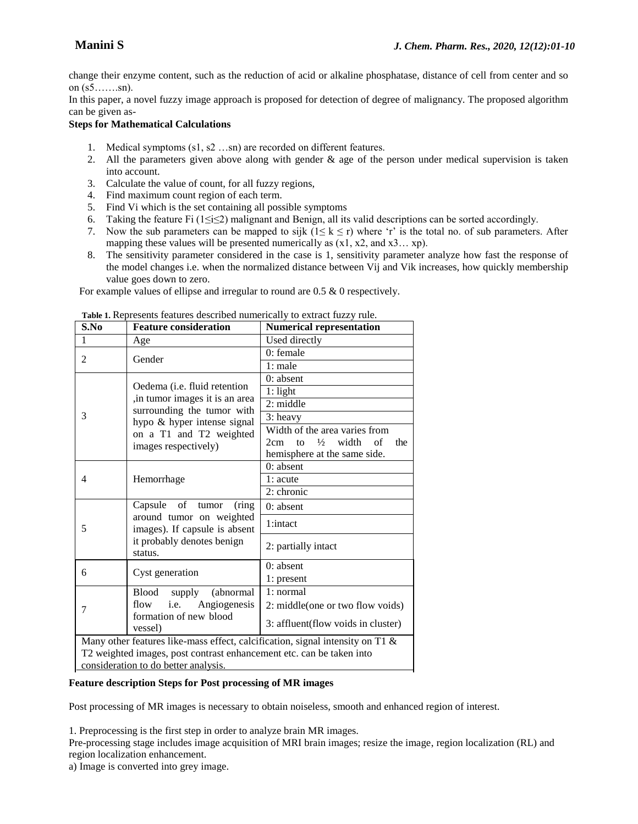change their enzyme content, such as the reduction of acid or alkaline phosphatase, distance of cell from center and so on  $(s5... \dots s n)$ .

In this paper, a novel fuzzy image approach is proposed for detection of degree of malignancy. The proposed algorithm can be given as-

## **Steps for Mathematical Calculations**

- 1. Medical symptoms (s1, s2 …sn) are recorded on different features.
- 2. All the parameters given above along with gender & age of the person under medical supervision is taken into account.
- 3. Calculate the value of count, for all fuzzy regions,
- 4. Find maximum count region of each term.
- 5. Find Vi which is the set containing all possible symptoms
- 6. Taking the feature Fi ( $1 \le i \le 2$ ) malignant and Benign, all its valid descriptions can be sorted accordingly.
- 7. Now the sub parameters can be mapped to sijk ( $1 \le k \le r$ ) where 'r' is the total no. of sub parameters. After mapping these values will be presented numerically as  $(x1, x2, and x3...$  xp).
- 8. The sensitivity parameter considered in the case is 1, sensitivity parameter analyze how fast the response of the model changes i.e. when the normalized distance between Vij and Vik increases, how quickly membership value goes down to zero.

For example values of ellipse and irregular to round are 0.5 & 0 respectively.

| S.No                                                                             | <b>Feature consideration</b>                                                                                                                                                    | Numerical representation                                                                                          |
|----------------------------------------------------------------------------------|---------------------------------------------------------------------------------------------------------------------------------------------------------------------------------|-------------------------------------------------------------------------------------------------------------------|
| $\mathbf{1}$                                                                     | Age                                                                                                                                                                             | Used directly                                                                                                     |
| 2                                                                                | Gender                                                                                                                                                                          | $0$ : female                                                                                                      |
|                                                                                  |                                                                                                                                                                                 | 1: male                                                                                                           |
| 3                                                                                | Oedema (i.e. fluid retention<br>, in tumor images it is an area<br>surrounding the tumor with<br>hypo & hyper intense signal<br>on a T1 and T2 weighted<br>images respectively) | $0:$ absent                                                                                                       |
|                                                                                  |                                                                                                                                                                                 | $1:$ light                                                                                                        |
|                                                                                  |                                                                                                                                                                                 | $2:$ middle                                                                                                       |
|                                                                                  |                                                                                                                                                                                 | 3: heavy                                                                                                          |
|                                                                                  |                                                                                                                                                                                 | Width of the area varies from<br>$\frac{1}{2}$<br>width<br>of<br>2cm<br>to<br>the<br>hemisphere at the same side. |
| $\overline{4}$                                                                   | Hemorrhage                                                                                                                                                                      | $0:$ absent                                                                                                       |
|                                                                                  |                                                                                                                                                                                 | 1: acute                                                                                                          |
|                                                                                  |                                                                                                                                                                                 | 2: chronic                                                                                                        |
| 5                                                                                | Capsule of tumor<br>(ring)<br>around tumor on weighted<br>images). If capsule is absent                                                                                         | 0: absent                                                                                                         |
|                                                                                  |                                                                                                                                                                                 | 1:intact                                                                                                          |
|                                                                                  | it probably denotes benign<br>status.                                                                                                                                           | 2: partially intact                                                                                               |
| 6                                                                                | Cyst generation                                                                                                                                                                 | $0:$ absent                                                                                                       |
|                                                                                  |                                                                                                                                                                                 | 1: present                                                                                                        |
| 7                                                                                | <b>Blood</b><br>supply<br>(abnormal)                                                                                                                                            | 1: normal                                                                                                         |
|                                                                                  | i.e.<br>Angiogenesis<br>flow<br>formation of new blood<br>vessel)                                                                                                               | 2: middle(one or two flow voids)                                                                                  |
|                                                                                  |                                                                                                                                                                                 | 3: affluent(flow voids in cluster)                                                                                |
| Many other features like-mass effect, calcification, signal intensity on T1 $\&$ |                                                                                                                                                                                 |                                                                                                                   |
| T2 weighted images, post contrast enhancement etc. can be taken into             |                                                                                                                                                                                 |                                                                                                                   |
| consideration to do better analysis.                                             |                                                                                                                                                                                 |                                                                                                                   |

**Table 1.** Represents features described numerically to extract fuzzy rule.

## **Feature description Steps for Post processing of MR images**

Post processing of MR images is necessary to obtain noiseless, smooth and enhanced region of interest.

1. Preprocessing is the first step in order to analyze brain MR images.

Pre-processing stage includes image acquisition of MRI brain images; resize the image, region localization (RL) and region localization enhancement.

a) Image is converted into grey image.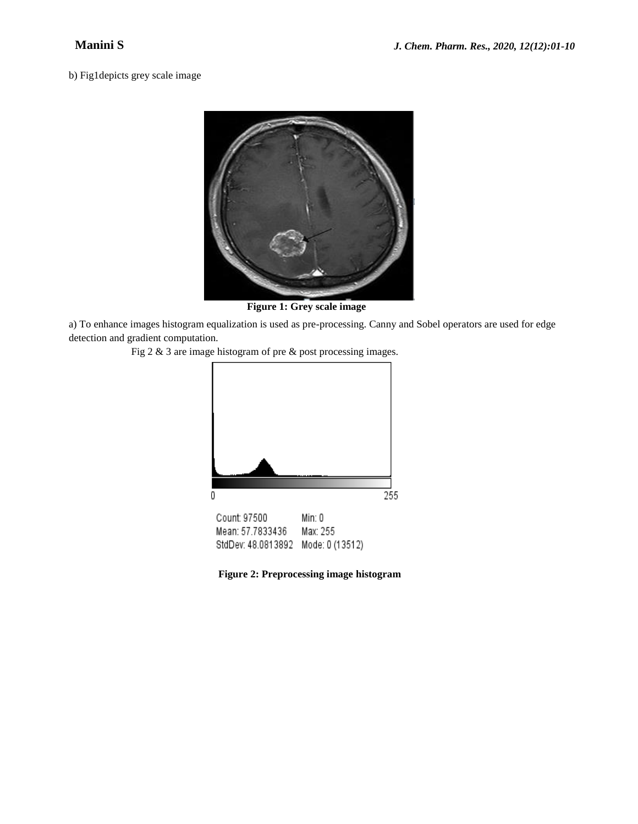b) Fig1depicts grey scale image



**Figure 1: Grey scale image**

a) To enhance images histogram equalization is used as pre-processing. Canny and Sobel operators are used for edge detection and gradient computation.

Fig 2 & 3 are image histogram of pre & post processing images.



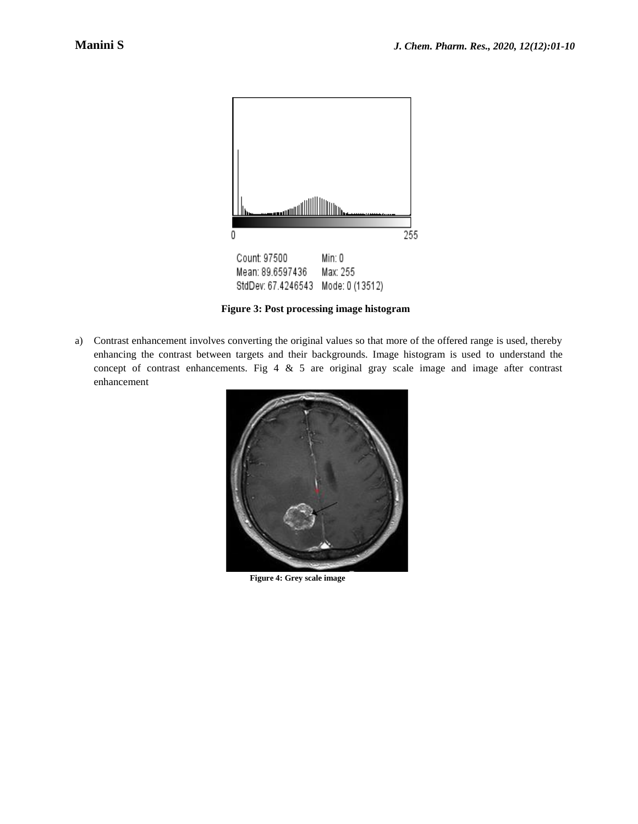

**Figure 3: Post processing image histogram**

a) Contrast enhancement involves converting the original values so that more of the offered range is used, thereby enhancing the contrast between targets and their backgrounds. Image histogram is used to understand the concept of contrast enhancements. Fig  $4 \& 5$  are original gray scale image and image after contrast enhancement



**Figure 4: Grey scale image**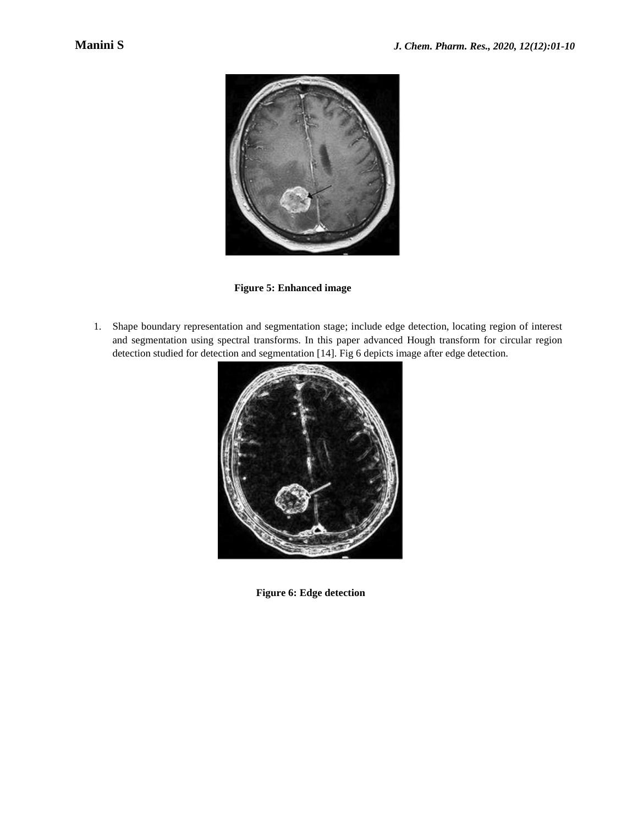

**Figure 5: Enhanced image**

1. Shape boundary representation and segmentation stage; include edge detection, locating region of interest and segmentation using spectral transforms. In this paper advanced Hough transform for circular region detection studied for detection and segmentation [14]. Fig 6 depicts image after edge detection.



**Figure 6: Edge detection**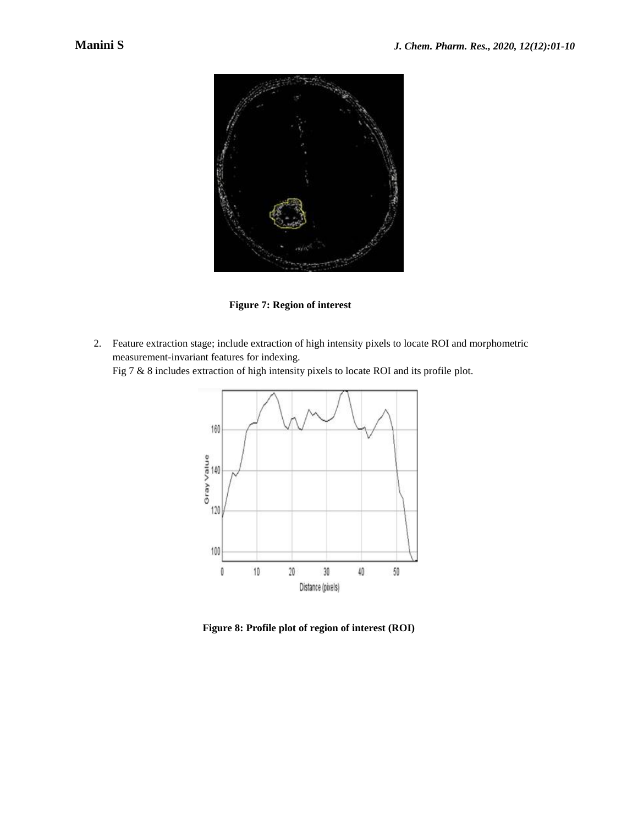

**Figure 7: Region of interest**

2. Feature extraction stage; include extraction of high intensity pixels to locate ROI and morphometric measurement-invariant features for indexing.

Fig 7 & 8 includes extraction of high intensity pixels to locate ROI and its profile plot.



**Figure 8: Profile plot of region of interest (ROI)**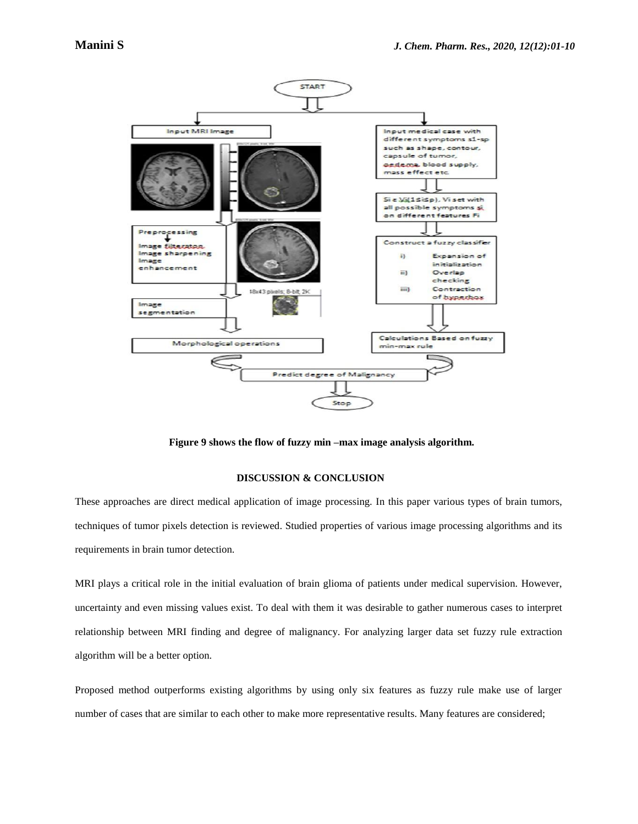

**Figure 9 shows the flow of fuzzy min –max image analysis algorithm.**

#### **DISCUSSION & CONCLUSION**

These approaches are direct medical application of image processing. In this paper various types of brain tumors, techniques of tumor pixels detection is reviewed. Studied properties of various image processing algorithms and its requirements in brain tumor detection.

MRI plays a critical role in the initial evaluation of brain glioma of patients under medical supervision. However, uncertainty and even missing values exist. To deal with them it was desirable to gather numerous cases to interpret relationship between MRI finding and degree of malignancy. For analyzing larger data set fuzzy rule extraction algorithm will be a better option.

Proposed method outperforms existing algorithms by using only six features as fuzzy rule make use of larger number of cases that are similar to each other to make more representative results. Many features are considered;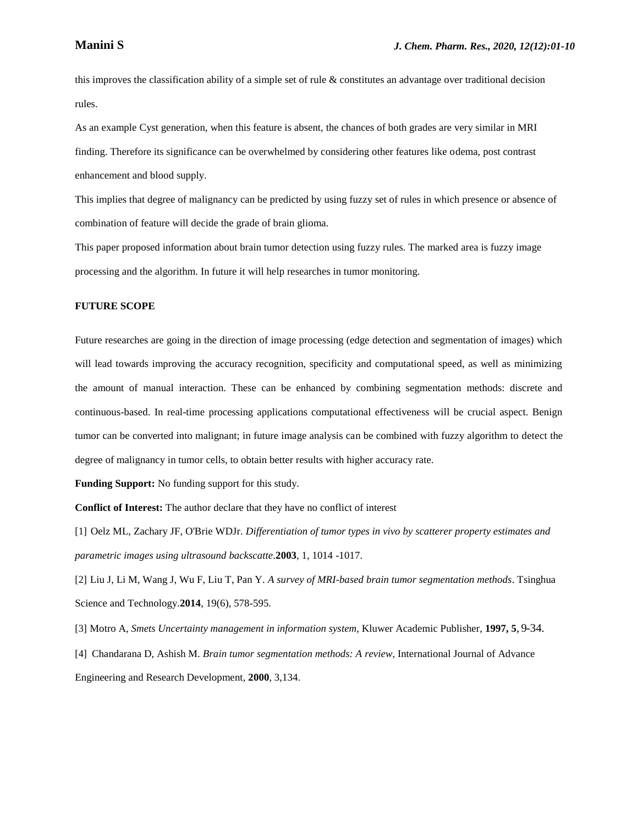this improves the classification ability of a simple set of rule & constitutes an advantage over traditional decision rules.

As an example Cyst generation, when this feature is absent, the chances of both grades are very similar in MRI finding. Therefore its significance can be overwhelmed by considering other features like odema, post contrast enhancement and blood supply.

This implies that degree of malignancy can be predicted by using fuzzy set of rules in which presence or absence of combination of feature will decide the grade of brain glioma.

This paper proposed information about brain tumor detection using fuzzy rules. The marked area is fuzzy image processing and the algorithm. In future it will help researches in tumor monitoring.

#### **FUTURE SCOPE**

Future researches are going in the direction of image processing (edge detection and segmentation of images) which will lead towards improving the accuracy recognition, specificity and computational speed, as well as minimizing the amount of manual interaction. These can be enhanced by combining segmentation methods: discrete and continuous-based. In real-time processing applications computational effectiveness will be crucial aspect. Benign tumor can be converted into malignant; in future image analysis can be combined with fuzzy algorithm to detect the degree of malignancy in tumor cells, to obtain better results with higher accuracy rate.

**Funding Support:** No funding support for this study.

**Conflict of Interest:** The author declare that they have no conflict of interest

[1] Oelz ML, Zachary JF, O'Brie WDJr. *Differentiation of tumor types in vivo by scatterer property estimates and parametric images using ultrasound backscatte*.**2003**, 1, 1014 -1017.

[2] Liu J, Li M, Wang J, Wu F, Liu T, Pan Y. *A survey of MRI-based brain tumor segmentation methods*. Tsinghua Science and Technology.**2014**, 19(6), 578-595.

[3] Motro A, *Smets Uncertainty management in information system*, Kluwer Academic Publisher, **1997, 5**, 9-34. [4] Chandarana D, Ashish M. *Brain tumor segmentation methods: A review*, International Journal of Advance Engineering and Research Development, **2000**, 3,134.